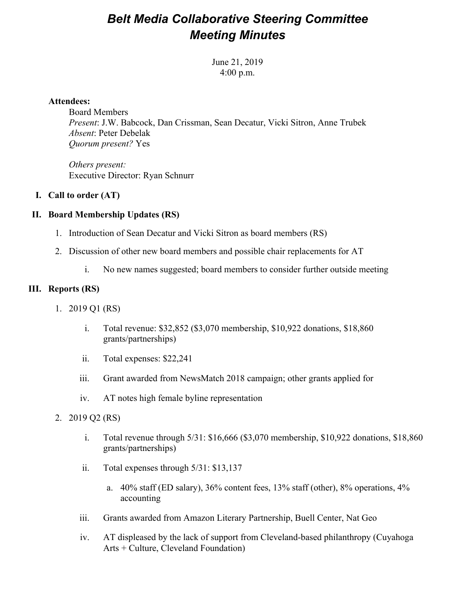## *Belt Media Collaborative Steering Committee Meeting Minutes*

June 21, 2019 4:00 p.m.

### **Attendees:**

Board Members *Present*: J.W. Babcock, Dan Crissman, Sean Decatur, Vicki Sitron, Anne Trubek *Absent*: Peter Debelak *Quorum present?* Yes

*Others present:* Executive Director: Ryan Schnurr

### **I. Call to order (AT)**

### **II. Board Membership Updates (RS)**

- 1. Introduction of Sean Decatur and Vicki Sitron as board members (RS)
- 2. Discussion of other new board members and possible chair replacements for AT
	- i. No new names suggested; board members to consider further outside meeting

### **III. Reports (RS)**

- 1. 2019 Q1 (RS)
	- i. Total revenue: \$32,852 (\$3,070 membership, \$10,922 donations, \$18,860 grants/partnerships)
	- ii. Total expenses: \$22,241
	- iii. Grant awarded from NewsMatch 2018 campaign; other grants applied for
	- iv. AT notes high female byline representation
- 2. 2019 Q2 (RS)
	- i. Total revenue through 5/31: \$16,666 (\$3,070 membership, \$10,922 donations, \$18,860 grants/partnerships)
	- ii. Total expenses through 5/31: \$13,137
		- a. 40% staff (ED salary), 36% content fees, 13% staff (other), 8% operations, 4% accounting
	- iii. Grants awarded from Amazon Literary Partnership, Buell Center, Nat Geo
	- iv. AT displeased by the lack of support from Cleveland-based philanthropy (Cuyahoga Arts + Culture, Cleveland Foundation)